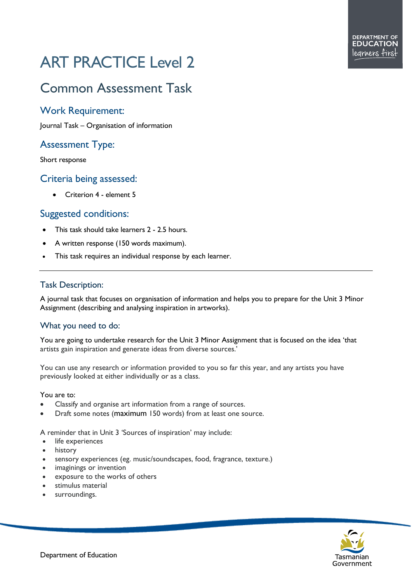# ART PRACTICE Level 2

# Common Assessment Task

### Work Requirement:

Journal Task – Organisation of information

## Assessment Type:

Short response

#### Criteria being assessed:

• Criterion 4 - element 5

#### Suggested conditions:

- This task should take learners 2 2.5 hours.
- A written response (150 words maximum).
- This task requires an individual response by each learner.

#### Task Description:

A journal task that focuses on organisation of information and helps you to prepare for the Unit 3 Minor Assignment (describing and analysing inspiration in artworks).

#### What you need to do:

You are going to undertake research for the Unit 3 Minor Assignment that is focused on the idea 'that artists gain inspiration and generate ideas from diverse sources.'

You can use any research or information provided to you so far this year, and any artists you have previously looked at either individually or as a class.

#### You are to:

- Classify and organise art information from a range of sources.
- Draft some notes (maximum 150 words) from at least one source.

A reminder that in Unit 3 'Sources of inspiration' may include:

- life experiences
- history
- sensory experiences (eg. music/soundscapes, food, fragrance, texture.)
- imaginings or invention
- exposure to the works of others
- stimulus material
- surroundings.